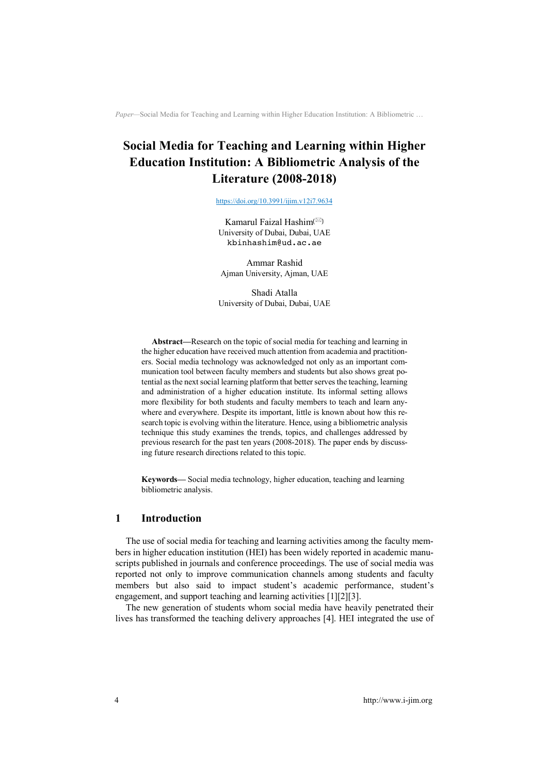# **Social Media for Teaching and Learning within Higher Education Institution: A Bibliometric Analysis of the Literature (2008-2018)**

https://doi.org/10.3991/ijim.v12i7.9634

Kamarul Faizal Hashim $($ <sup> $\boxtimes)$ </sup> University of Dubai, Dubai, UAE kbinhashim@ud.ac.ae

Ammar Rashid Ajman University, Ajman, UAE

Shadi Atalla University of Dubai, Dubai, UAE

**Abstract—**Research on the topic of social media for teaching and learning in the higher education have received much attention from academia and practitioners. Social media technology was acknowledged not only as an important communication tool between faculty members and students but also shows great potential as the next social learning platform that better servesthe teaching, learning and administration of a higher education institute. Its informal setting allows more flexibility for both students and faculty members to teach and learn anywhere and everywhere. Despite its important, little is known about how this research topic is evolving within the literature. Hence, using a bibliometric analysis technique this study examines the trends, topics, and challenges addressed by previous research for the past ten years (2008-2018). The paper ends by discussing future research directions related to this topic.

**Keywords—** Social media technology, higher education, teaching and learning bibliometric analysis.

# **1 Introduction**

The use of social media for teaching and learning activities among the faculty members in higher education institution (HEI) has been widely reported in academic manuscripts published in journals and conference proceedings. The use of social media was reported not only to improve communication channels among students and faculty members but also said to impact student's academic performance, student's engagement, and support teaching and learning activities [1][2][3].

The new generation of students whom social media have heavily penetrated their lives has transformed the teaching delivery approaches [4]. HEI integrated the use of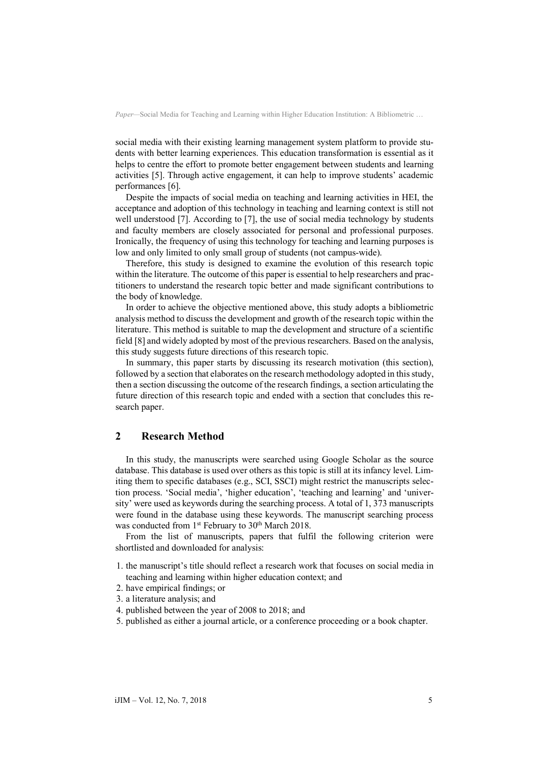social media with their existing learning management system platform to provide students with better learning experiences. This education transformation is essential as it helps to centre the effort to promote better engagement between students and learning activities [5]. Through active engagement, it can help to improve students' academic performances [6].

Despite the impacts of social media on teaching and learning activities in HEI, the acceptance and adoption of this technology in teaching and learning context is still not well understood [7]. According to [7], the use of social media technology by students and faculty members are closely associated for personal and professional purposes. Ironically, the frequency of using this technology for teaching and learning purposes is low and only limited to only small group of students (not campus-wide).

Therefore, this study is designed to examine the evolution of this research topic within the literature. The outcome of this paper is essential to help researchers and practitioners to understand the research topic better and made significant contributions to the body of knowledge.

In order to achieve the objective mentioned above, this study adopts a bibliometric analysis method to discuss the development and growth of the research topic within the literature. This method is suitable to map the development and structure of a scientific field [8] and widely adopted by most of the previous researchers. Based on the analysis, this study suggests future directions of this research topic.

In summary, this paper starts by discussing its research motivation (this section), followed by a section that elaborates on the research methodology adopted in this study, then a section discussing the outcome of the research findings, a section articulating the future direction of this research topic and ended with a section that concludes this research paper.

## **2 Research Method**

In this study, the manuscripts were searched using Google Scholar as the source database. This database is used over others as this topic is still at its infancy level. Limiting them to specific databases (e.g., SCI, SSCI) might restrict the manuscripts selection process. 'Social media', 'higher education', 'teaching and learning' and 'university' were used as keywords during the searching process. A total of 1, 373 manuscripts were found in the database using these keywords. The manuscript searching process was conducted from 1<sup>st</sup> February to 30<sup>th</sup> March 2018.

From the list of manuscripts, papers that fulfil the following criterion were shortlisted and downloaded for analysis:

- 1. the manuscript's title should reflect a research work that focuses on social media in teaching and learning within higher education context; and
- 2. have empirical findings; or
- 3. a literature analysis; and
- 4. published between the year of 2008 to 2018; and
- 5. published as either a journal article, or a conference proceeding or a book chapter.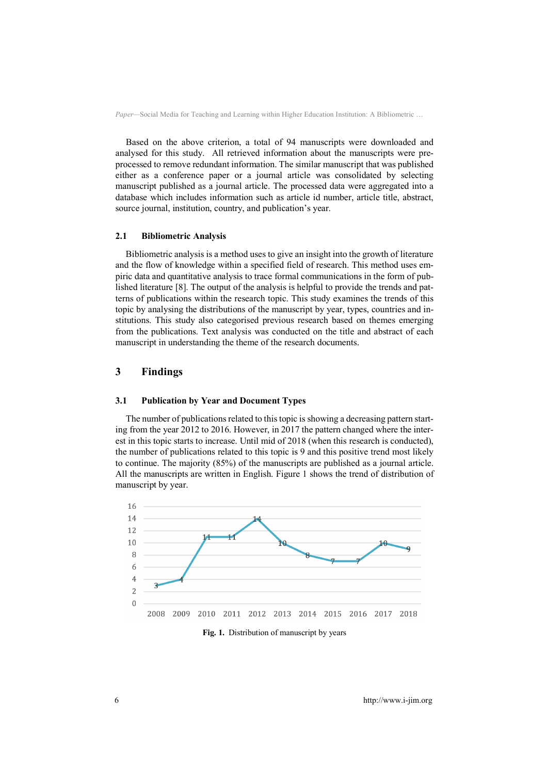Based on the above criterion, a total of 94 manuscripts were downloaded and analysed for this study. All retrieved information about the manuscripts were preprocessed to remove redundant information. The similar manuscript that was published either as a conference paper or a journal article was consolidated by selecting manuscript published as a journal article. The processed data were aggregated into a database which includes information such as article id number, article title, abstract, source journal, institution, country, and publication's year.

## **2.1 Bibliometric Analysis**

Bibliometric analysis is a method uses to give an insight into the growth of literature and the flow of knowledge within a specified field of research. This method uses empiric data and quantitative analysis to trace formal communications in the form of published literature [8]. The output of the analysis is helpful to provide the trends and patterns of publications within the research topic. This study examines the trends of this topic by analysing the distributions of the manuscript by year, types, countries and institutions. This study also categorised previous research based on themes emerging from the publications. Text analysis was conducted on the title and abstract of each manuscript in understanding the theme of the research documents.

# **3 Findings**

## **3.1 Publication by Year and Document Types**

The number of publications related to this topic is showing a decreasing pattern starting from the year 2012 to 2016. However, in 2017 the pattern changed where the interest in this topic starts to increase. Until mid of 2018 (when this research is conducted), the number of publications related to this topic is 9 and this positive trend most likely to continue. The majority (85%) of the manuscripts are published as a journal article. All the manuscripts are written in English. Figure 1 shows the trend of distribution of manuscript by year.



**Fig. 1.** Distribution of manuscript by years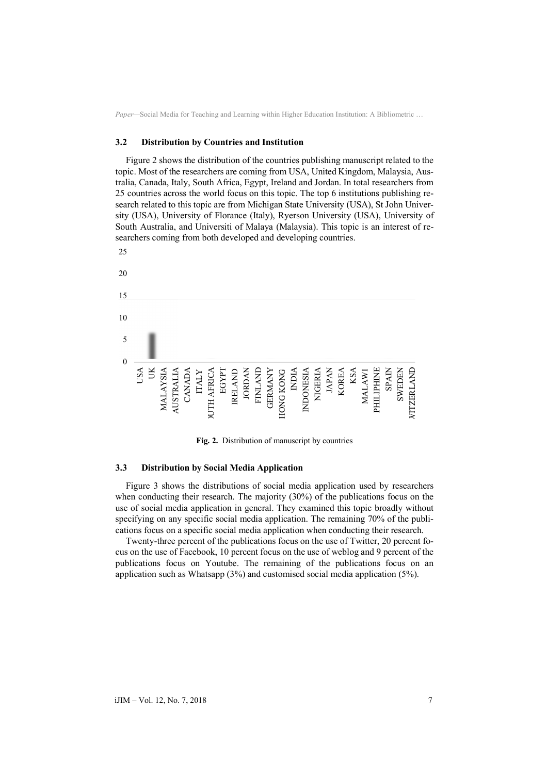#### **3.2 Distribution by Countries and Institution**

Figure 2 shows the distribution of the countries publishing manuscript related to the topic. Most of the researchers are coming from USA, United Kingdom, Malaysia, Australia, Canada, Italy, South Africa, Egypt, Ireland and Jordan. In total researchers from 25 countries across the world focus on this topic. The top 6 institutions publishing research related to this topic are from Michigan State University (USA), St John University (USA), University of Florance (Italy), Ryerson University (USA), University of South Australia, and Universiti of Malaya (Malaysia). This topic is an interest of researchers coming from both developed and developing countries.



**Fig. 2.** Distribution of manuscript by countries

#### **3.3 Distribution by Social Media Application**

Figure 3 shows the distributions of social media application used by researchers when conducting their research. The majority (30%) of the publications focus on the use of social media application in general. They examined this topic broadly without specifying on any specific social media application. The remaining 70% of the publications focus on a specific social media application when conducting their research.

Twenty-three percent of the publications focus on the use of Twitter, 20 percent focus on the use of Facebook, 10 percent focus on the use of weblog and 9 percent of the publications focus on Youtube. The remaining of the publications focus on an application such as Whatsapp (3%) and customised social media application (5%).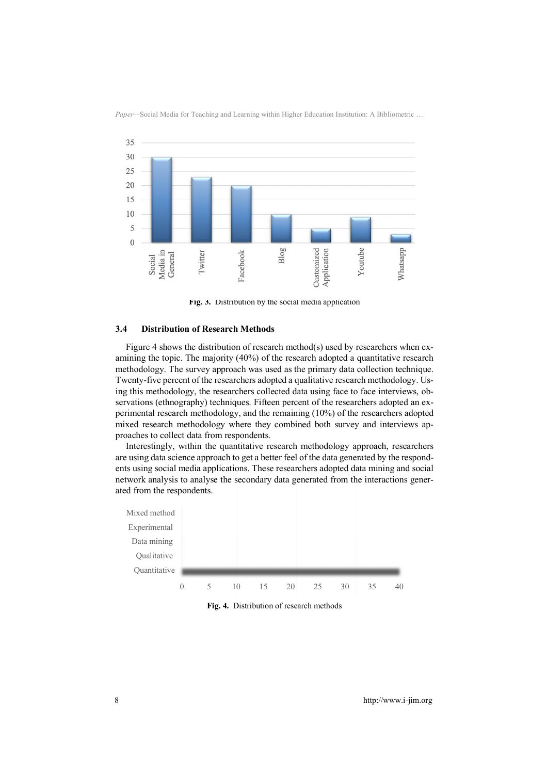

**Fig. 3.** Distribution by the social media application

#### **3.4 Distribution of Research Methods**

Figure 4 shows the distribution of research method(s) used by researchers when examining the topic. The majority (40%) of the research adopted a quantitative research methodology. The survey approach was used as the primary data collection technique. Twenty-five percent of the researchers adopted a qualitative research methodology. Using this methodology, the researchers collected data using face to face interviews, observations (ethnography) techniques. Fifteen percent of the researchers adopted an experimental research methodology, and the remaining (10%) of the researchers adopted mixed research methodology where they combined both survey and interviews approaches to collect data from respondents.

Interestingly, within the quantitative research methodology approach, researchers are using data science approach to get a better feel of the data generated by the respondents using social media applications. These researchers adopted data mining and social network analysis to analyse the secondary data generated from the interactions generated from the respondents.



**Fig. 4.** Distribution of research methods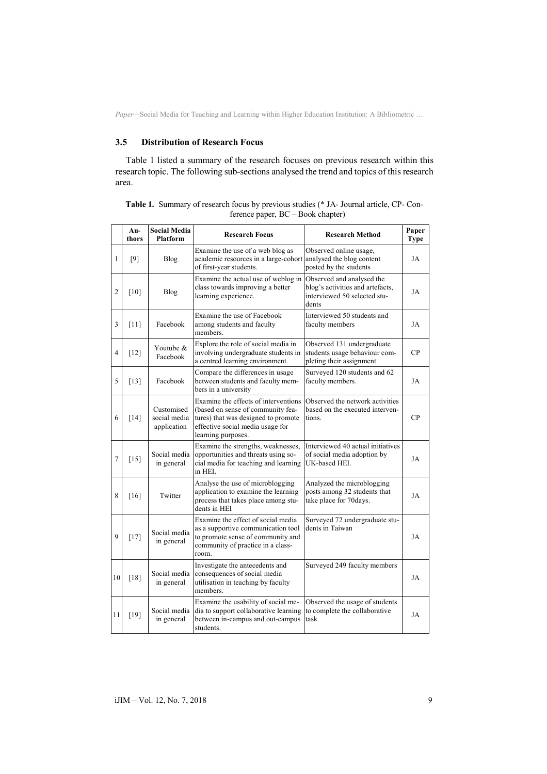## **3.5 Distribution of Research Focus**

Table 1 listed a summary of the research focuses on previous research within this research topic. The following sub-sections analysed the trend and topics of this research area.

|                | Au-<br>thors | <b>Social Media</b><br><b>Platform</b>    | <b>Research Focus</b>                                                                                                                                                      | <b>Research Method</b>                                                                                 | Paper<br><b>Type</b> |
|----------------|--------------|-------------------------------------------|----------------------------------------------------------------------------------------------------------------------------------------------------------------------------|--------------------------------------------------------------------------------------------------------|----------------------|
| 1              | $[9]$        | <b>Blog</b>                               | Examine the use of a web blog as<br>academic resources in a large-cohort analysed the blog content<br>of first-year students.                                              | Observed online usage,<br>posted by the students                                                       | JA                   |
| $\overline{2}$ | [10]         | <b>Blog</b>                               | Examine the actual use of weblog in<br>class towards improving a better<br>learning experience.                                                                            | Observed and analysed the<br>blog's activities and artefacts,<br>interviewed 50 selected stu-<br>dents | JA                   |
| 3              | [11]         | Facebook                                  | Examine the use of Facebook<br>among students and faculty<br>members.                                                                                                      | Interviewed 50 students and<br>faculty members                                                         | JA                   |
| $\overline{4}$ | $[12]$       | Youtube &<br>Facebook                     | Explore the role of social media in<br>involving undergraduate students in<br>a centred learning environment.                                                              | Observed 131 undergraduate<br>students usage behaviour com-<br>pleting their assignment                | CP                   |
| 5              | $[13]$       | Facebook                                  | Compare the differences in usage<br>between students and faculty mem-<br>bers in a university                                                                              | Surveyed 120 students and 62<br>faculty members.                                                       | JA                   |
| 6              | $[14]$       | Customised<br>social media<br>application | Examine the effects of interventions<br>(based on sense of community fea-<br>tures) that was designed to promote<br>effective social media usage for<br>learning purposes. | Observed the network activities<br>based on the executed interven-<br>tions.                           | <b>CP</b>            |
| $\overline{7}$ | $[15]$       | Social media<br>in general                | Examine the strengths, weaknesses,<br>opportunities and threats using so-<br>cial media for teaching and learning<br>in HEI.                                               | Interviewed 40 actual initiatives<br>of social media adoption by<br>UK-based HEI.                      | JA                   |
| 8              | [16]         | Twitter                                   | Analyse the use of microblogging<br>application to examine the learning<br>process that takes place among stu-<br>dents in HEI                                             | Analyzed the microblogging<br>posts among 32 students that<br>take place for 70days.                   | JA                   |
| $\mathbf{Q}$   | $[17]$       | Social media<br>in general                | Examine the effect of social media<br>as a supportive communication tool<br>to promote sense of community and<br>community of practice in a class-<br>room.                | Surveyed 72 undergraduate stu-<br>dents in Taiwan                                                      | JA                   |
| 10             | $[18]$       | Social media<br>in general                | Investigate the antecedents and<br>consequences of social media<br>utilisation in teaching by faculty<br>members.                                                          | Surveyed 249 faculty members                                                                           | JA                   |
| 11             | $[19]$       | Social media<br>in general                | Examine the usability of social me-<br>dia to support collaborative learning<br>between in-campus and out-campus<br>students.                                              | Observed the usage of students<br>to complete the collaborative<br>task                                | JA                   |

**Table 1.** Summary of research focus by previous studies (\* JA- Journal article, CP- Conference paper, BC – Book chapter)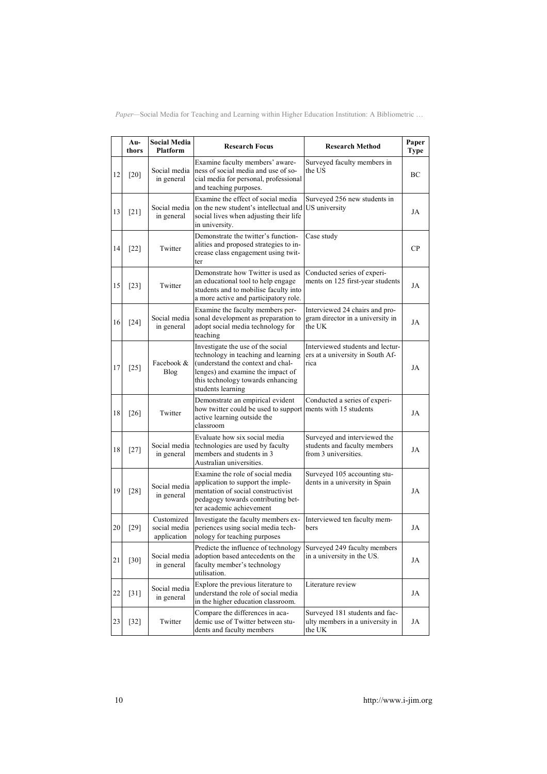|    | Au-<br>thors       | <b>Social Media</b><br><b>Platform</b>    | <b>Research Focus</b>                                                                                                                                                                                        | <b>Research Method</b>                                                               | Paper<br><b>Type</b> |
|----|--------------------|-------------------------------------------|--------------------------------------------------------------------------------------------------------------------------------------------------------------------------------------------------------------|--------------------------------------------------------------------------------------|----------------------|
| 12 | $[20]$             | Social media<br>in general                | Examine faculty members' aware-<br>ness of social media and use of so-<br>cial media for personal, professional<br>and teaching purposes.                                                                    | Surveyed faculty members in<br>the US                                                | ВC                   |
| 13 | [21]               | Social media<br>in general                | Examine the effect of social media<br>on the new student's intellectual and<br>social lives when adjusting their life<br>in university.                                                                      | Surveyed 256 new students in<br>US university                                        | JA                   |
| 14 | $[22]$             | Twitter                                   | Demonstrate the twitter's function-<br>alities and proposed strategies to in-<br>crease class engagement using twit-<br>ter                                                                                  | Case study                                                                           | <b>CP</b>            |
| 15 | $\lceil 23 \rceil$ | Twitter                                   | Demonstrate how Twitter is used as<br>an educational tool to help engage<br>students and to mobilise faculty into<br>a more active and participatory role.                                                   | Conducted series of experi-<br>ments on 125 first-year students                      | JA                   |
| 16 | $[24]$             | Social media<br>in general                | Examine the faculty members per-<br>sonal development as preparation to<br>adopt social media technology for<br>teaching                                                                                     | Interviewed 24 chairs and pro-<br>gram director in a university in<br>the UK         | JA                   |
| 17 | $[25]$             | Facebook &<br>Blog                        | Investigate the use of the social<br>technology in teaching and learning<br>(understand the context and chal-<br>lenges) and examine the impact of<br>this technology towards enhancing<br>students learning | Interviewed students and lectur-<br>ers at a university in South Af-<br>rica         | JA                   |
| 18 | $[26]$             | Twitter                                   | Demonstrate an empirical evident<br>how twitter could be used to support ments with 15 students<br>active learning outside the<br>classroom                                                                  | Conducted a series of experi-                                                        | JA                   |
| 18 | $[27]$             | Social media<br>in general                | Evaluate how six social media<br>technologies are used by faculty<br>members and students in 3<br>Australian universities.                                                                                   | Surveyed and interviewed the<br>students and faculty members<br>from 3 universities. | JA                   |
| 19 | [28]               | Social media<br>in general                | Examine the role of social media<br>application to support the imple-<br>mentation of social constructivist<br>pedagogy towards contributing bet-<br>ter academic achievement                                | Surveyed 105 accounting stu-<br>dents in a university in Spain                       | JA                   |
| 20 | $[29]$             | Customized<br>social media<br>application | Investigate the faculty members ex-<br>periences using social media tech-<br>nology for teaching purposes                                                                                                    | Interviewed ten faculty mem-<br>hers                                                 | JA                   |
| 21 | $[30]$             | Social media<br>in general                | Predicte the influence of technology<br>adoption based antecedents on the<br>faculty member's technology<br>utilisation.                                                                                     | Surveyed 249 faculty members<br>in a university in the US.                           | JA                   |
| 22 | $[31]$             | Social media<br>in general                | Explore the previous literature to<br>understand the role of social media<br>in the higher education classroom.                                                                                              | Literature review                                                                    | JA                   |
| 23 | $[32]$             | Twitter                                   | Compare the differences in aca-<br>demic use of Twitter between stu-<br>dents and faculty members                                                                                                            | Surveyed 181 students and fac-<br>ulty members in a university in<br>the UK          | JA                   |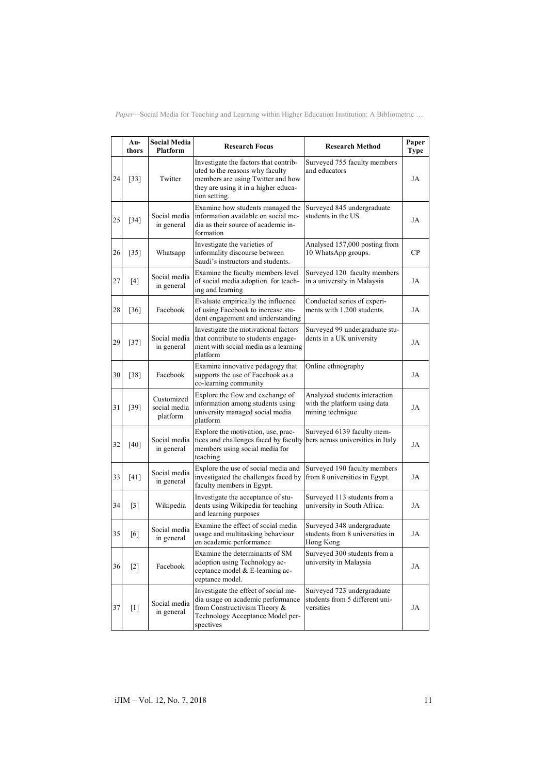|    | Au-<br>thors | <b>Social Media</b><br><b>Platform</b> | <b>Research Focus</b>                                                                                                                                                  | <b>Research Method</b>                                                            | Paper<br>Type |
|----|--------------|----------------------------------------|------------------------------------------------------------------------------------------------------------------------------------------------------------------------|-----------------------------------------------------------------------------------|---------------|
| 24 | $[33]$       | Twitter                                | Investigate the factors that contrib-<br>uted to the reasons why faculty<br>members are using Twitter and how<br>they are using it in a higher educa-<br>tion setting. | Surveyed 755 faculty members<br>and educators                                     | JA            |
| 25 | $[34]$       | Social media<br>in general             | Examine how students managed the<br>information available on social me-<br>dia as their source of academic in-<br>formation                                            | Surveyed 845 undergraduate<br>students in the US.                                 | JA            |
| 26 | $[35]$       | Whatsapp                               | Investigate the varieties of<br>informality discourse between<br>Saudi's instructors and students.                                                                     | Analysed 157,000 posting from<br>10 WhatsApp groups.                              | CР            |
| 27 | [4]          | Social media<br>in general             | Examine the faculty members level<br>of social media adoption for teach-<br>ing and learning                                                                           | Surveyed 120 faculty members<br>in a university in Malaysia                       | JA            |
| 28 | $[36]$       | Facebook                               | Evaluate empirically the influence<br>of using Facebook to increase stu-<br>dent engagement and understanding                                                          | Conducted series of experi-<br>ments with 1,200 students.                         | JA            |
| 29 | $[37]$       | Social media<br>in general             | Investigate the motivational factors<br>that contribute to students engage-<br>ment with social media as a learning<br>platform                                        | Surveyed 99 undergraduate stu-<br>dents in a UK university                        | JA            |
| 30 | $[38]$       | Facebook                               | Examine innovative pedagogy that<br>supports the use of Facebook as a<br>co-learning community                                                                         | Online ethnography                                                                | JA            |
| 31 | $[39]$       | Customized<br>social media<br>platform | Explore the flow and exchange of<br>information among students using<br>university managed social media<br>platform                                                    | Analyzed students interaction<br>with the platform using data<br>mining technique | JA            |
| 32 | [40]         | Social media<br>in general             | Explore the motivation, use, prac-<br>tices and challenges faced by faculty<br>members using social media for<br>teaching                                              | Surveyed 6139 faculty mem-<br>bers across universities in Italy                   | JA            |
| 33 | [41]         | Social media<br>in general             | Explore the use of social media and<br>investigated the challenges faced by<br>faculty members in Egypt.                                                               | Surveyed 190 faculty members<br>from 8 universities in Egypt.                     | JA            |
| 34 | $[3]$        | Wikipedia                              | Investigate the acceptance of stu-<br>dents using Wikipedia for teaching<br>and learning purposes                                                                      | Surveyed 113 students from a<br>university in South Africa.                       | JA            |
| 35 | [6]          | Social media<br>in general             | Examine the effect of social media<br>usage and multitasking behaviour<br>on academic performance                                                                      | Surveyed 348 undergraduate<br>students from 8 universities in<br>Hong Kong        | JA            |
| 36 | $[2]$        | Facebook                               | Examine the determinants of SM<br>adoption using Technology ac-<br>ceptance model & E-learning ac-<br>ceptance model.                                                  | Surveyed 300 students from a<br>university in Malaysia                            | JA            |
| 37 | $[1]$        | Social media<br>in general             | Investigate the effect of social me-<br>dia usage on academic performance<br>from Constructivism Theory &<br>Technology Acceptance Model per-<br>spectives             | Surveyed 723 undergraduate<br>students from 5 different uni-<br>versities         | JA            |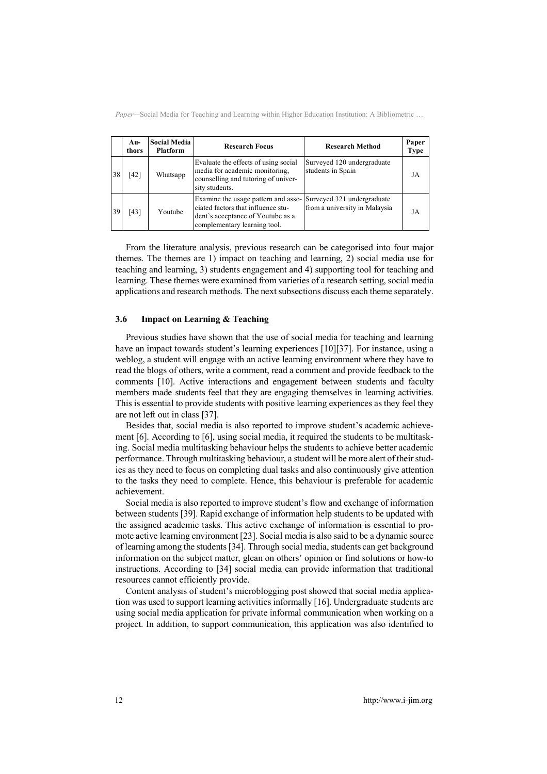|    | $Au-$<br>thors | <b>Social Media</b><br>Platform | <b>Research Focus</b>                                                                                                                          | <b>Research Method</b>                                      | Paper<br>Type |
|----|----------------|---------------------------------|------------------------------------------------------------------------------------------------------------------------------------------------|-------------------------------------------------------------|---------------|
| 38 | [42]           | Whatsapp                        | Evaluate the effects of using social<br>media for academic monitoring,<br>counselling and tutoring of univer-<br>sity students.                | Surveyed 120 undergraduate<br>students in Spain             | JA            |
| 39 | [43]           | Youtube                         | Examine the usage pattern and asso-<br>ciated factors that influence stu-<br>dent's acceptance of Youtube as a<br>complementary learning tool. | Surveyed 321 undergraduate<br>from a university in Malaysia | JA            |

From the literature analysis, previous research can be categorised into four major themes. The themes are 1) impact on teaching and learning, 2) social media use for teaching and learning, 3) students engagement and 4) supporting tool for teaching and learning. These themes were examined from varieties of a research setting, social media applications and research methods. The next subsections discuss each theme separately.

## **3.6 Impact on Learning & Teaching**

Previous studies have shown that the use of social media for teaching and learning have an impact towards student's learning experiences [10][37]. For instance, using a weblog, a student will engage with an active learning environment where they have to read the blogs of others, write a comment, read a comment and provide feedback to the comments [10]. Active interactions and engagement between students and faculty members made students feel that they are engaging themselves in learning activities. This is essential to provide students with positive learning experiences as they feel they are not left out in class [37].

Besides that, social media is also reported to improve student's academic achievement [6]. According to [6], using social media, it required the students to be multitasking. Social media multitasking behaviour helps the students to achieve better academic performance. Through multitasking behaviour, a student will be more alert of their studies as they need to focus on completing dual tasks and also continuously give attention to the tasks they need to complete. Hence, this behaviour is preferable for academic achievement.

Social media is also reported to improve student's flow and exchange of information between students [39]. Rapid exchange of information help students to be updated with the assigned academic tasks. This active exchange of information is essential to promote active learning environment [23]. Social media is also said to be a dynamic source of learning among the students [34]. Through social media, students can get background information on the subject matter, glean on others' opinion or find solutions or how-to instructions. According to [34] social media can provide information that traditional resources cannot efficiently provide.

Content analysis of student's microblogging post showed that social media application was used to support learning activities informally [16]. Undergraduate students are using social media application for private informal communication when working on a project. In addition, to support communication, this application was also identified to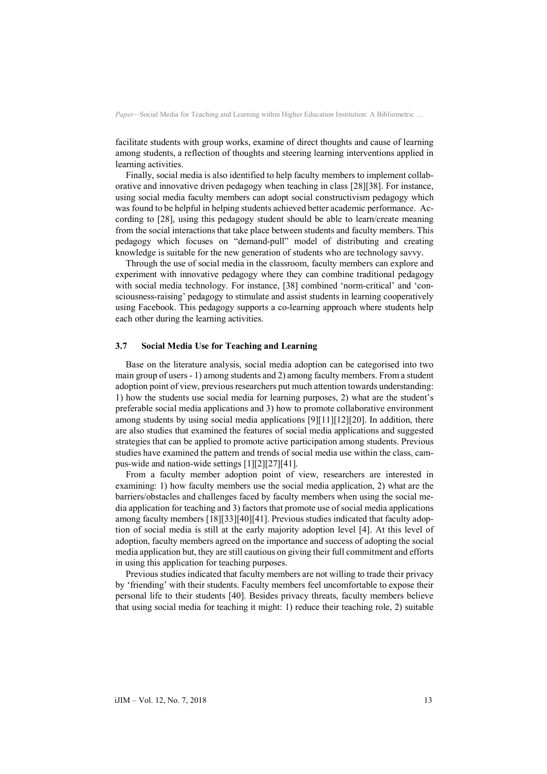facilitate students with group works, examine of direct thoughts and cause of learning among students, a reflection of thoughts and steering learning interventions applied in learning activities.

Finally, social media is also identified to help faculty members to implement collaborative and innovative driven pedagogy when teaching in class [28][38]. For instance, using social media faculty members can adopt social constructivism pedagogy which was found to be helpful in helping students achieved better academic performance. According to [28], using this pedagogy student should be able to learn/create meaning from the social interactions that take place between students and faculty members. This pedagogy which focuses on "demand-pull" model of distributing and creating knowledge is suitable for the new generation of students who are technology savvy.

Through the use of social media in the classroom, faculty members can explore and experiment with innovative pedagogy where they can combine traditional pedagogy with social media technology. For instance, [38] combined 'norm-critical' and 'consciousness-raising' pedagogy to stimulate and assist students in learning cooperatively using Facebook. This pedagogy supports a co-learning approach where students help each other during the learning activities.

## **3.7 Social Media Use for Teaching and Learning**

Base on the literature analysis, social media adoption can be categorised into two main group of users - 1) among students and 2) among faculty members. From a student adoption point of view, previous researchers put much attention towards understanding: 1) how the students use social media for learning purposes, 2) what are the student's preferable social media applications and 3) how to promote collaborative environment among students by using social media applications [9][11][12][20]. In addition, there are also studies that examined the features of social media applications and suggested strategies that can be applied to promote active participation among students. Previous studies have examined the pattern and trends of social media use within the class, campus-wide and nation-wide settings [1][2][27][41].

From a faculty member adoption point of view, researchers are interested in examining: 1) how faculty members use the social media application, 2) what are the barriers/obstacles and challenges faced by faculty members when using the social media application for teaching and 3) factors that promote use of social media applications among faculty members [18][33][40][41]. Previous studies indicated that faculty adoption of social media is still at the early majority adoption level [4]. At this level of adoption, faculty members agreed on the importance and success of adopting the social media application but, they are still cautious on giving their full commitment and efforts in using this application for teaching purposes.

Previous studies indicated that faculty members are not willing to trade their privacy by 'friending' with their students. Faculty members feel uncomfortable to expose their personal life to their students [40]. Besides privacy threats, faculty members believe that using social media for teaching it might: 1) reduce their teaching role, 2) suitable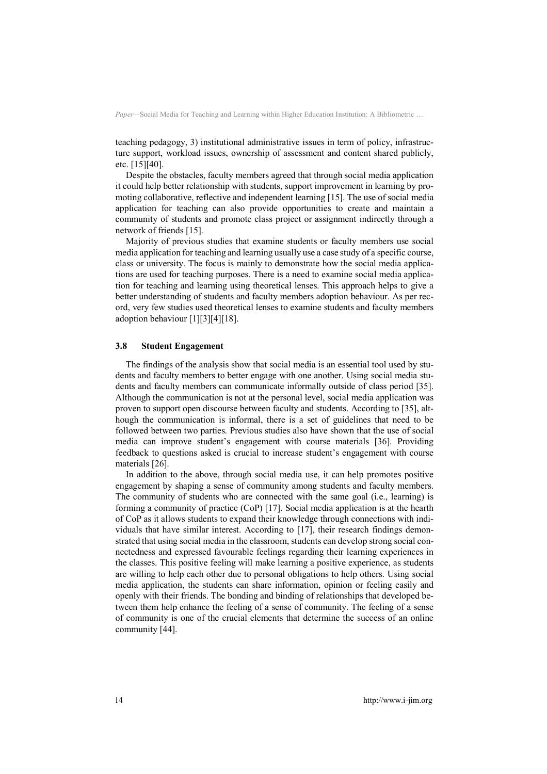teaching pedagogy, 3) institutional administrative issues in term of policy, infrastructure support, workload issues, ownership of assessment and content shared publicly, etc. [15][40].

Despite the obstacles, faculty members agreed that through social media application it could help better relationship with students, support improvement in learning by promoting collaborative, reflective and independent learning [15]. The use of social media application for teaching can also provide opportunities to create and maintain a community of students and promote class project or assignment indirectly through a network of friends [15].

Majority of previous studies that examine students or faculty members use social media application for teaching and learning usually use a case study of a specific course, class or university. The focus is mainly to demonstrate how the social media applications are used for teaching purposes. There is a need to examine social media application for teaching and learning using theoretical lenses. This approach helps to give a better understanding of students and faculty members adoption behaviour. As per record, very few studies used theoretical lenses to examine students and faculty members adoption behaviour [1][3][4][18].

#### **3.8 Student Engagement**

The findings of the analysis show that social media is an essential tool used by students and faculty members to better engage with one another. Using social media students and faculty members can communicate informally outside of class period [35]. Although the communication is not at the personal level, social media application was proven to support open discourse between faculty and students. According to [35], although the communication is informal, there is a set of guidelines that need to be followed between two parties. Previous studies also have shown that the use of social media can improve student's engagement with course materials [36]. Providing feedback to questions asked is crucial to increase student's engagement with course materials [26].

In addition to the above, through social media use, it can help promotes positive engagement by shaping a sense of community among students and faculty members. The community of students who are connected with the same goal (i.e., learning) is forming a community of practice (CoP) [17]. Social media application is at the hearth of CoP as it allows students to expand their knowledge through connections with individuals that have similar interest. According to [17], their research findings demonstrated that using social media in the classroom, students can develop strong social connectedness and expressed favourable feelings regarding their learning experiences in the classes. This positive feeling will make learning a positive experience, as students are willing to help each other due to personal obligations to help others. Using social media application, the students can share information, opinion or feeling easily and openly with their friends. The bonding and binding of relationships that developed between them help enhance the feeling of a sense of community. The feeling of a sense of community is one of the crucial elements that determine the success of an online community [44].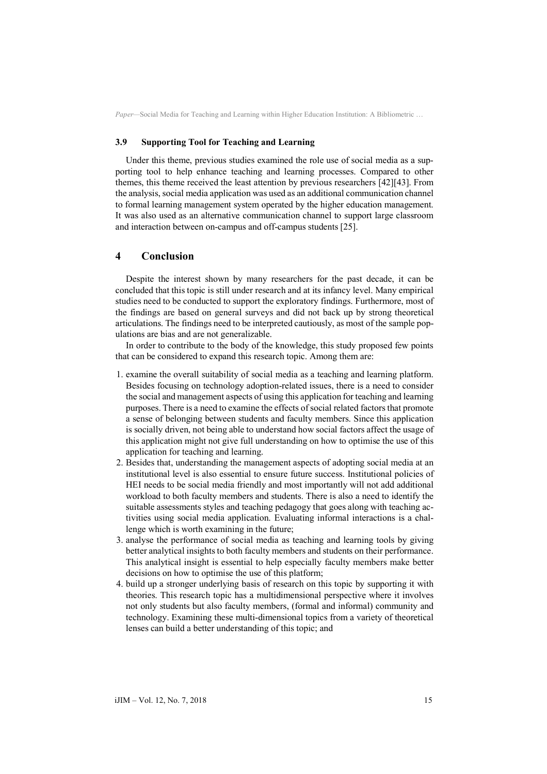#### **3.9 Supporting Tool for Teaching and Learning**

Under this theme, previous studies examined the role use of social media as a supporting tool to help enhance teaching and learning processes. Compared to other themes, this theme received the least attention by previous researchers [42][43]. From the analysis, social media application was used as an additional communication channel to formal learning management system operated by the higher education management. It was also used as an alternative communication channel to support large classroom and interaction between on-campus and off-campus students [25].

# **4 Conclusion**

Despite the interest shown by many researchers for the past decade, it can be concluded that this topic is still under research and at its infancy level. Many empirical studies need to be conducted to support the exploratory findings. Furthermore, most of the findings are based on general surveys and did not back up by strong theoretical articulations. The findings need to be interpreted cautiously, as most of the sample populations are bias and are not generalizable.

In order to contribute to the body of the knowledge, this study proposed few points that can be considered to expand this research topic. Among them are:

- 1. examine the overall suitability of social media as a teaching and learning platform. Besides focusing on technology adoption-related issues, there is a need to consider the social and management aspects of using this application for teaching and learning purposes. There is a need to examine the effects of social related factors that promote a sense of belonging between students and faculty members. Since this application is socially driven, not being able to understand how social factors affect the usage of this application might not give full understanding on how to optimise the use of this application for teaching and learning.
- 2. Besides that, understanding the management aspects of adopting social media at an institutional level is also essential to ensure future success. Institutional policies of HEI needs to be social media friendly and most importantly will not add additional workload to both faculty members and students. There is also a need to identify the suitable assessments styles and teaching pedagogy that goes along with teaching activities using social media application. Evaluating informal interactions is a challenge which is worth examining in the future;
- 3. analyse the performance of social media as teaching and learning tools by giving better analytical insights to both faculty members and students on their performance. This analytical insight is essential to help especially faculty members make better decisions on how to optimise the use of this platform;
- 4. build up a stronger underlying basis of research on this topic by supporting it with theories. This research topic has a multidimensional perspective where it involves not only students but also faculty members, (formal and informal) community and technology. Examining these multi-dimensional topics from a variety of theoretical lenses can build a better understanding of this topic; and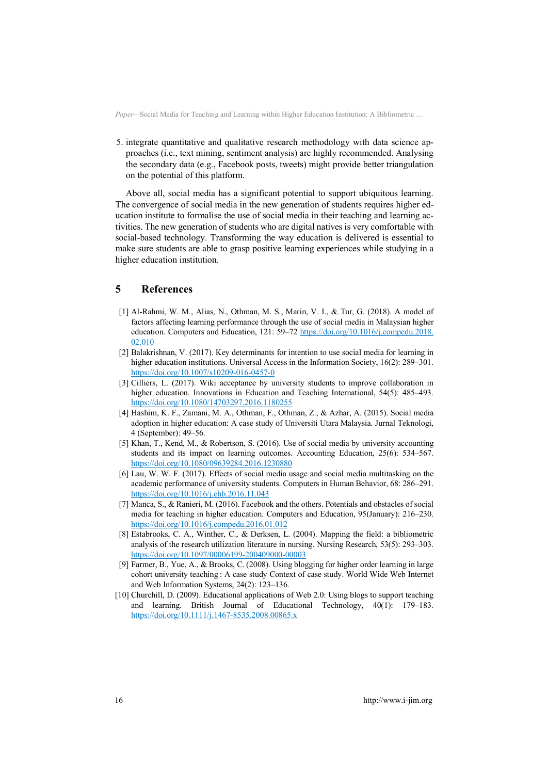5. integrate quantitative and qualitative research methodology with data science approaches (i.e., text mining, sentiment analysis) are highly recommended. Analysing the secondary data (e.g., Facebook posts, tweets) might provide better triangulation on the potential of this platform.

Above all, social media has a significant potential to support ubiquitous learning. The convergence of social media in the new generation of students requires higher education institute to formalise the use of social media in their teaching and learning activities. The new generation of students who are digital natives is very comfortable with social-based technology. Transforming the way education is delivered is essential to make sure students are able to grasp positive learning experiences while studying in a higher education institution.

# **5 References**

- [1] Al-Rahmi, W. M., Alias, N., Othman, M. S., Marin, V. I., & Tur, G. (2018). A model of factors affecting learning performance through the use of social media in Malaysian higher education. Computers and Education, 121: 59-72 https://doi.org/10.1016/j.compedu.2018. 02.010
- [2] Balakrishnan, V. (2017). Key determinants for intention to use social media for learning in higher education institutions. Universal Access in the Information Society, 16(2): 289–301. https://doi.org/10.1007/s10209-016-0457-0
- [3] Cilliers, L. (2017). Wiki acceptance by university students to improve collaboration in higher education. Innovations in Education and Teaching International, 54(5): 485–493. https://doi.org/10.1080/14703297.2016.1180255
- [4] Hashim, K. F., Zamani, M. A., Othman, F., Othman, Z., & Azhar, A. (2015). Social media adoption in higher education: A case study of Universiti Utara Malaysia. Jurnal Teknologi, 4 (September): 49–56.
- [5] Khan, T., Kend, M., & Robertson, S. (2016). Use of social media by university accounting students and its impact on learning outcomes. Accounting Education, 25(6): 534–567. https://doi.org/10.1080/09639284.2016.1230880
- [6] Lau, W. W. F. (2017). Effects of social media usage and social media multitasking on the academic performance of university students. Computers in Human Behavior, 68: 286–291. https://doi.org/10.1016/j.chb.2016.11.043
- [7] Manca, S., & Ranieri, M. (2016). Facebook and the others. Potentials and obstacles of social media for teaching in higher education. Computers and Education, 95(January): 216–230. https://doi.org/10.1016/j.compedu.2016.01.012
- [8] Estabrooks, C. A., Winther, C., & Derksen, L. (2004). Mapping the field: a bibliometric analysis of the research utilization literature in nursing. Nursing Research, 53(5): 293–303. https://doi.org/10.1097/00006199-200409000-00003
- [9] Farmer, B., Yue, A., & Brooks, C. (2008). Using blogging for higher order learning in large cohort university teaching : A case study Context of case study. World Wide Web Internet and Web Information Systems, 24(2): 123–136.
- [10] Churchill, D. (2009). Educational applications of Web 2.0: Using blogs to support teaching and learning. British Journal of Educational Technology, 40(1): 179–183. https://doi.org/10.1111/j.1467-8535.2008.00865.x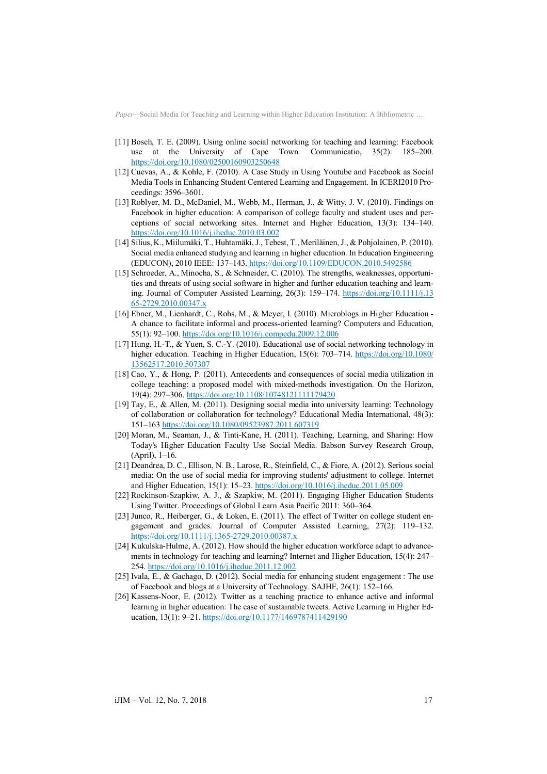- [11] Bosch, T. E. (2009). Using online social networking for teaching and learning: Facebook use at the University of Cape Town. Communicatio, 35(2): 185–200. https://doi.org/10.1080/02500160903250648
- [12] Cuevas, A., & Kohle, F. (2010). A Case Study in Using Youtube and Facebook as Social Media Tools in Enhancing Student Centered Learning and Engagement. In ICERI2010 Proceedings: 3596–3601.
- [13] Roblyer, M. D., McDaniel, M., Webb, M., Herman, J., & Witty, J. V. (2010). Findings on Facebook in higher education: A comparison of college faculty and student uses and perceptions of social networking sites. Internet and Higher Education, 13(3): 134–140. https://doi.org/10.1016/j.iheduc.2010.03.002
- [14] Silius, K., Miilumäki, T., Huhtamäki, J., Tebest, T., Meriläinen, J., & Pohjolainen, P. (2010). Social media enhanced studying and learning in higher education. In Education Engineering (EDUCON), 2010 IEEE: 137–143. https://doi.org/10.1109/EDUCON.2010.5492586
- [15] Schroeder, A., Minocha, S., & Schneider, C. (2010). The strengths, weaknesses, opportunities and threats of using social software in higher and further education teaching and learning. Journal of Computer Assisted Learning, 26(3): 159–174. https://doi.org/10.1111/j.13 65-2729.2010.00347.x
- [16] Ebner, M., Lienhardt, C., Rohs, M., & Meyer, I. (2010). Microblogs in Higher Education A chance to facilitate informal and process-oriented learning? Computers and Education, 55(1): 92–100. https://doi.org/10.1016/j.compedu.2009.12.006
- [17] Hung, H.-T., & Yuen, S. C.-Y. (2010). Educational use of social networking technology in higher education. Teaching in Higher Education, 15(6): 703-714. https://doi.org/10.1080/ 13562517.2010.507307
- [18] Cao, Y., & Hong, P. (2011). Antecedents and consequences of social media utilization in college teaching: a proposed model with mixed-methods investigation. On the Horizon, 19(4): 297–306. https://doi.org/10.1108/10748121111179420
- [19] Tay, E., & Allen, M. (2011). Designing social media into university learning: Technology of collaboration or collaboration for technology? Educational Media International, 48(3): 151–163 https://doi.org/10.1080/09523987.2011.607319
- [20] Moran, M., Seaman, J., & Tinti-Kane, H. (2011). Teaching, Learning, and Sharing: How Today's Higher Education Faculty Use Social Media. Babson Survey Research Group, (April), 1–16.
- [21] Deandrea, D. C., Ellison, N. B., Larose, R., Steinfield, C., & Fiore, A. (2012). Serious social media: On the use of social media for improving students' adjustment to college. Internet and Higher Education, 15(1): 15–23. https://doi.org/10.1016/j.iheduc.2011.05.009
- [22] Rockinson-Szapkiw, A. J., & Szapkiw, M. (2011). Engaging Higher Education Students Using Twitter. Proceedings of Global Learn Asia Pacific 2011: 360–364.
- [23] Junco, R., Heiberger, G., & Loken, E. (2011). The effect of Twitter on college student engagement and grades. Journal of Computer Assisted Learning, 27(2): 119–132. https://doi.org/10.1111/j.1365-2729.2010.00387.x
- [24] Kukulska-Hulme, A. (2012). How should the higher education workforce adapt to advancements in technology for teaching and learning? Internet and Higher Education, 15(4): 247– 254. https://doi.org/10.1016/j.iheduc.2011.12.002
- [25] Ivala, E., & Gachago, D. (2012). Social media for enhancing student engagement : The use of Facebook and blogs at a University of Technology. SAJHE, 26(1): 152–166.
- [26] Kassens-Noor, E. (2012). Twitter as a teaching practice to enhance active and informal learning in higher education: The case of sustainable tweets. Active Learning in Higher Education, 13(1): 9–21. https://doi.org/10.1177/1469787411429190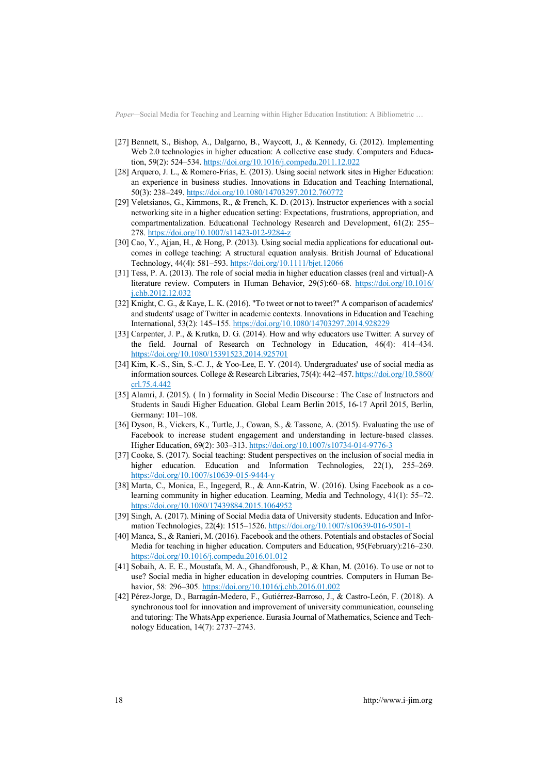- [27] Bennett, S., Bishop, A., Dalgarno, B., Waycott, J., & Kennedy, G. (2012). Implementing Web 2.0 technologies in higher education: A collective case study. Computers and Education, 59(2): 524–534. https://doi.org/10.1016/j.compedu.2011.12.022
- [28] Arquero, J. L., & Romero-Frías, E. (2013). Using social network sites in Higher Education: an experience in business studies. Innovations in Education and Teaching International, 50(3): 238–249. https://doi.org/10.1080/14703297.2012.760772
- [29] Veletsianos, G., Kimmons, R., & French, K. D. (2013). Instructor experiences with a social networking site in a higher education setting: Expectations, frustrations, appropriation, and compartmentalization. Educational Technology Research and Development, 61(2): 255– 278. https://doi.org/10.1007/s11423-012-9284-z
- [30] Cao, Y., Ajjan, H., & Hong, P. (2013). Using social media applications for educational outcomes in college teaching: A structural equation analysis. British Journal of Educational Technology, 44(4): 581–593. https://doi.org/10.1111/bjet.12066
- [31] Tess, P. A. (2013). The role of social media in higher education classes (real and virtual)-A literature review. Computers in Human Behavior, 29(5):60–68. https://doi.org/10.1016/ j.chb.2012.12.032
- [32] Knight, C. G., & Kaye, L. K. (2016). "To tweet or not to tweet?" A comparison of academics' and students' usage of Twitter in academic contexts. Innovations in Education and Teaching International, 53(2): 145–155. https://doi.org/10.1080/14703297.2014.928229
- [33] Carpenter, J. P., & Krutka, D. G. (2014). How and why educators use Twitter: A survey of the field. Journal of Research on Technology in Education, 46(4): 414–434. https://doi.org/10.1080/15391523.2014.925701
- [34] Kim, K.-S., Sin, S.-C. J., & Yoo-Lee, E. Y. (2014). Undergraduates' use of social media as information sources. College & Research Libraries, 75(4): 442–457. https://doi.org/10.5860/ crl.75.4.442
- [35] Alamri, J. (2015). ( In ) formality in Social Media Discourse : The Case of Instructors and Students in Saudi Higher Education. Global Learn Berlin 2015, 16-17 April 2015, Berlin, Germany: 101–108.
- [36] Dyson, B., Vickers, K., Turtle, J., Cowan, S., & Tassone, A. (2015). Evaluating the use of Facebook to increase student engagement and understanding in lecture-based classes. Higher Education, 69(2): 303–313. https://doi.org/10.1007/s10734-014-9776-3
- [37] Cooke, S. (2017). Social teaching: Student perspectives on the inclusion of social media in higher education. Education and Information Technologies, 22(1), 255-269. https://doi.org/10.1007/s10639-015-9444-y
- [38] Marta, C., Monica, E., Ingegerd, R., & Ann-Katrin, W. (2016). Using Facebook as a colearning community in higher education. Learning, Media and Technology, 41(1): 55–72. https://doi.org/10.1080/17439884.2015.1064952
- [39] Singh, A. (2017). Mining of Social Media data of University students. Education and Information Technologies, 22(4): 1515–1526. https://doi.org/10.1007/s10639-016-9501-1
- [40] Manca, S., & Ranieri, M. (2016). Facebook and the others. Potentials and obstacles of Social Media for teaching in higher education. Computers and Education, 95(February):216–230. https://doi.org/10.1016/j.compedu.2016.01.012
- [41] Sobaih, A. E. E., Moustafa, M. A., Ghandforoush, P., & Khan, M. (2016). To use or not to use? Social media in higher education in developing countries. Computers in Human Behavior, 58: 296–305. https://doi.org/10.1016/j.chb.2016.01.002
- [42] Pérez-Jorge, D., Barragán-Medero, F., Gutiérrez-Barroso, J., & Castro-León, F. (2018). A synchronous tool for innovation and improvement of university communication, counseling and tutoring: The WhatsApp experience. Eurasia Journal of Mathematics, Science and Technology Education, 14(7): 2737–2743.